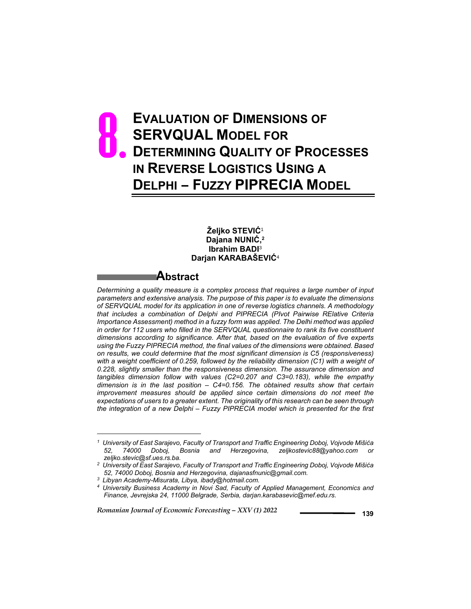# **EVALUATION OF DIMENSIONS OF SERVQUAL MODEL FOR DETERMINING QUALITY OF PROCESSES IN REVERSE LOGISTICS USING A DELPHI – FUZZY PIPRECIA MODEL** 8.

#### **Željko STEVIĆ**<sup>1</sup> **Dajana NUNIĆ, 2 Ibrahim BADI**<sup>3</sup> **Darjan KARABAŠEVIĆ**<sup>4</sup>

## **Abstract**

*Determining a quality measure is a complex process that requires a large number of input parameters and extensive analysis. The purpose of this paper is to evaluate the dimensions of SERVQUAL model for its application in one of reverse logistics channels. A methodology that includes a combination of Delphi and PIPRECIA (PIvot Pairwise RElative Criteria Importance Assessment) method in a fuzzy form was applied. The Delhi method was applied in order for 112 users who filled in the SERVQUAL questionnaire to rank its five constituent dimensions according to significance. After that, based on the evaluation of five experts using the Fuzzy PIPRECIA method, the final values of the dimensions were obtained. Based on results, we could determine that the most significant dimension is C5 (responsiveness)*  with a weight coefficient of 0.259, followed by the reliability dimension (C1) with a weight of *0.228, slightly smaller than the responsiveness dimension. The assurance dimension and tangibles dimension follow with values (C2=0.207 and C3=0.183), while the empathy dimension is in the last position – C4=0.156. The obtained results show that certain improvement measures should be applied since certain dimensions do not meet the expectations of users to a greater extent. The originality of this research can be seen through the integration of a new Delphi – Fuzzy PIPRECIA model which is presented for the first* 

l

*<sup>1</sup> University of East Sarajevo, Faculty of Transport and Traffic Engineering Doboj, Vojvode Mišića*  52, 74000 Doboj, Bosnia and Herzegovina, zeljkostevic88@yahoo.com *zeljko.stevic@sf.ues.rs.ba.*

*<sup>2</sup> University of East Sarajevo, Faculty of Transport and Traffic Engineering Doboj, Vojvode Mišića 52, 74000 Doboj, Bosnia and Herzegovina, dajanasfnunic@gmail.com.*

*<sup>3</sup> Libyan Academy-Misurata, Libya, ibady@hotmail.com.*

*<sup>4</sup> University Business Academy in Novi Sad, Faculty of Applied Management, Economics and Finance, Jevrejska 24, 11000 Belgrade, Serbia, darjan.karabasevic@mef.edu.rs.*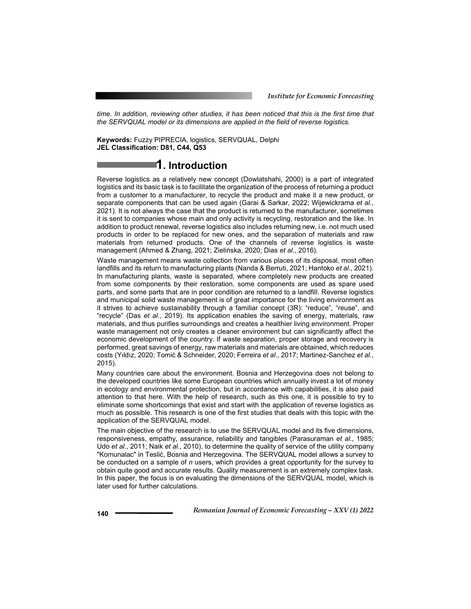*time. In addition, reviewing other studies, it has been noticed that this is the first time that the SERVQUAL model or its dimensions are applied in the field of reverse logistics.*

**Keywords:** Fuzzy PIPRECIA, logistics, SERVQUAL, Delphi **JEL Classification: D81, C44, Q53** 

## **1. Introduction**

Reverse logistics as a relatively new concept (Dowlatshahi, 2000) is a part of integrated logistics and its basic task is to facilitate the organization of the process of returning a product from a customer to a manufacturer, to recycle the product and make it a new product, or separate components that can be used again (Garai & Sarkar, 2022; Wijewickrama *et al*., 2021). It is not always the case that the product is returned to the manufacturer, sometimes it is sent to companies whose main and only activity is recycling, restoration and the like. In addition to product renewal, reverse logistics also includes returning new, i.e. not much used products in order to be replaced for new ones, and the separation of materials and raw materials from returned products. One of the channels of reverse logistics is waste management (Ahmed & Zhang, 2021; Zielińska, 2020; Dias *et al*., 2016).

Waste management means waste collection from various places of its disposal, most often landfills and its return to manufacturing plants (Nanda & Berruti, 2021; Hantoko *et al*., 2021). In manufacturing plants, waste is separated, where completely new products are created from some components by their restoration, some components are used as spare used parts, and some parts that are in poor condition are returned to a landfill. Reverse logistics and municipal solid waste management is of great importance for the living environment as it strives to achieve sustainability through a familiar concept (3R): "reduce", "reuse", and "recycle" (Das *et al*., 2019). Its application enables the saving of energy, materials, raw materials, and thus purifies surroundings and creates a healthier living environment. Proper waste management not only creates a cleaner environment but can significantly affect the economic development of the country. If waste separation, proper storage and recovery is performed, great savings of energy, raw materials and materials are obtained, which reduces costs (Yıldız, 2020; Tomić & Schneider, 2020; Ferreira *et al*., 2017; Martinez-Sanchez *et al*., 2015).

Many countries care about the environment. Bosnia and Herzegovina does not belong to the developed countries like some European countries which annually invest a lot of money in ecology and environmental protection, but in accordance with capabilities, it is also paid attention to that here. With the help of research, such as this one, it is possible to try to eliminate some shortcomings that exist and start with the application of reverse logistics as much as possible. This research is one of the first studies that deals with this topic with the application of the SERVQUAL model.

The main objective of the research is to use the SERVQUAL model and its five dimensions, responsiveness, empathy, assurance, reliability and tangibles (Parasuraman *et al*., 1985; Udo *et al*., 2011; Naik *et al*., 2010), to determine the quality of service of the utility company "Komunalac" in Teslić, Bosnia and Herzegovina. The SERVQUAL model allows a survey to be conducted on a sample of *n* users, which provides a great opportunity for the survey to obtain quite good and accurate results. Quality measurement is an extremely complex task. In this paper, the focus is on evaluating the dimensions of the SERVQUAL model, which is later used for further calculations.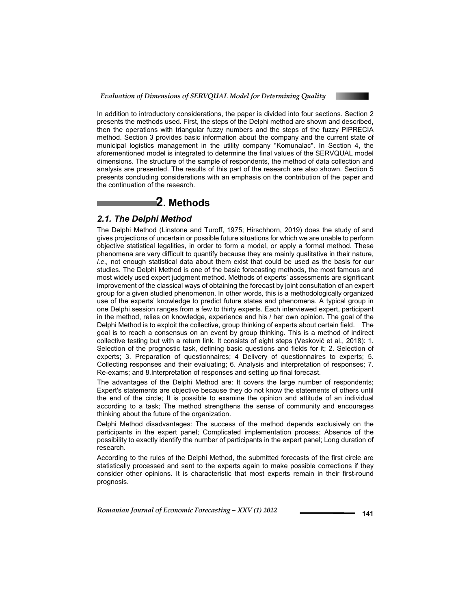

In addition to introductory considerations, the paper is divided into four sections. Section 2 presents the methods used. First, the steps of the Delphi method are shown and described, then the operations with triangular fuzzy numbers and the steps of the fuzzy PIPRECIA method. Section 3 provides basic information about the company and the current state of municipal logistics management in the utility company "Komunalac". In Section 4, the aforementioned model is integrated to determine the final values of the SERVQUAL model dimensions. The structure of the sample of respondents, the method of data collection and analysis are presented. The results of this part of the research are also shown. Section 5 presents concluding considerations with an emphasis on the contribution of the paper and the continuation of the research.

## **2. Methods**

#### *2.1. The Delphi Method*

The Delphi Method (Linstone and Turoff, 1975; Hirschhorn, 2019) does the study of and gives projections of uncertain or possible future situations for which we are unable to perform objective statistical legalities, in order to form a model, or apply a formal method. These phenomena are very difficult to quantify because they are mainly qualitative in their nature, *i.e.,* not enough statistical data about them exist that could be used as the basis for our studies. The Delphi Method is one of the basic forecasting methods, the most famous and most widely used expert judgment method. Methods of experts' assessments are significant improvement of the classical ways of obtaining the forecast by joint consultation of an expert group for a given studied phenomenon. In other words, this is a methodologically organized use of the experts' knowledge to predict future states and phenomena. A typical group in one Delphi session ranges from a few to thirty experts. Each interviewed expert, participant in the method, relies on knowledge, experience and his / her own opinion. The goal of the Delphi Method is to exploit the collective, group thinking of experts about certain field. The goal is to reach a consensus on an event by group thinking. This is a method of indirect collective testing but with a return link. It consists of eight steps (Vesković et al., 2018): 1. Selection of the prognostic task, defining basic questions and fields for it; 2. Selection of experts; 3. Preparation of questionnaires; 4 Delivery of questionnaires to experts; 5. Collecting responses and their evaluating; 6. Analysis and interpretation of responses; 7. Re-exams; and 8.Interpretation of responses and setting up final forecast.

The advantages of the Delphi Method are: It covers the large number of respondents; Expert's statements are objective because they do not know the statements of others until the end of the circle; It is possible to examine the opinion and attitude of an individual according to a task; The method strengthens the sense of community and encourages thinking about the future of the organization.

Delphi Method disadvantages: The success of the method depends exclusively on the participants in the expert panel; Complicated implementation process; Absence of the possibility to exactly identify the number of participants in the expert panel; Long duration of research.

According to the rules of the Delphi Method, the submitted forecasts of the first circle are statistically processed and sent to the experts again to make possible corrections if they consider other opinions. It is characteristic that most experts remain in their first-round prognosis.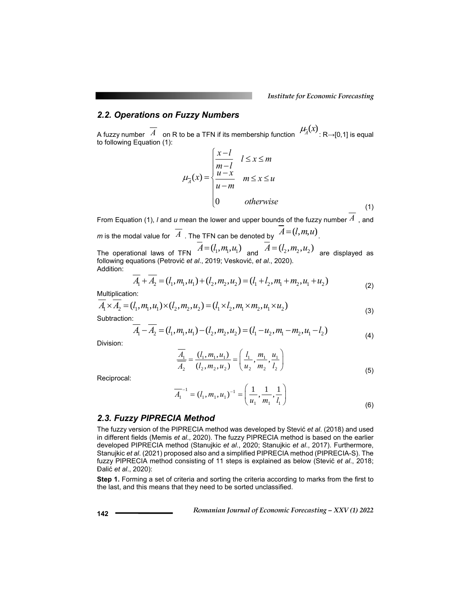### *2.2. Operations on Fuzzy Numbers*

A fuzzy number  $\overline{A}$  on R to be a TFN if its membership function  $\mu_{\overline{A}}(x)$  : R→[0,1] is equal to following Equation (1):

$$
\mu_{\overline{\lambda}}(x) = \begin{cases}\n\frac{x-l}{m-l} & l \leq x \leq m \\
\frac{u-x}{u-m} & m \leq x \leq u \\
0 & \text{otherwise}\n\end{cases}
$$
\n(1)

From Equation (1), *l* and *u* mean the lower and upper bounds of the fuzzy number *A* , and *m* is the modal value for  $\overline{A}$  . The TFN can be denoted by  $A = (l, m, u)$ .

The operational laws of TFN  $\overline{A} = (l_1, m_1, u_1)$  and  $\overline{A} = (l_2, m_2, u_2)$  are displayed as following equations (Petrović *et al*., 2019; Vesković, *et al*., 2020). Addition:

$$
A_1 + A_2 = (l_1, m_1, u_1) + (l_2, m_2, u_2) = (l_1 + l_2, m_1 + m_2, u_1 + u_2)
$$
\n(2)

Multiplication:

$$
A_1 \times A_2 = (l_1, m_1, u_1) \times (l_2, m_2, u_2) = (l_1 \times l_2, m_1 \times m_2, u_1 \times u_2)
$$
\n(3)

Subtraction:

$$
\overline{A}_1 - \overline{A}_2 = (l_1, m_1, u_1) - (l_2, m_2, u_2) = (l_1 - u_2, m_1 - m_2, u_1 - l_2)
$$
\n(4)

Division:

$$
\frac{\overline{A_1}}{\overline{A_2}} = \frac{(l_1, m_1, u_1)}{(l_2, m_2, u_2)} = \left(\frac{l_1}{u_2}, \frac{m_1}{m_2}, \frac{u_1}{l_2}\right)
$$
\n(5)

Reciprocal:

$$
\overline{A}_1^{-1} = (l_1, m_1, u_1)^{-1} = \left(\frac{1}{u_1}, \frac{1}{m_1}, \frac{1}{l_1}\right)
$$
(6)

#### *2.3. Fuzzy PIPRECIA Method*

The fuzzy version of the PIPRECIA method was developed by Stević *et al*. (2018) and used in different fields (Memis *et al*., 2020). The fuzzy PIPRECIA method is based on the earlier developed PIPRECIA method (Stanujkic *et al*., 2020; Stanujkic *et al*., 2017). Furthermore, Stanujkic *et al*. (2021) proposed also and a simplified PIPRECIA method (PIPRECIA-S). The fuzzy PIPRECIA method consisting of 11 steps is explained as below (Stević *et al*., 2018; Đalić *et al*., 2020):

**Step 1.** Forming a set of criteria and sorting the criteria according to marks from the first to the last, and this means that they need to be sorted unclassified.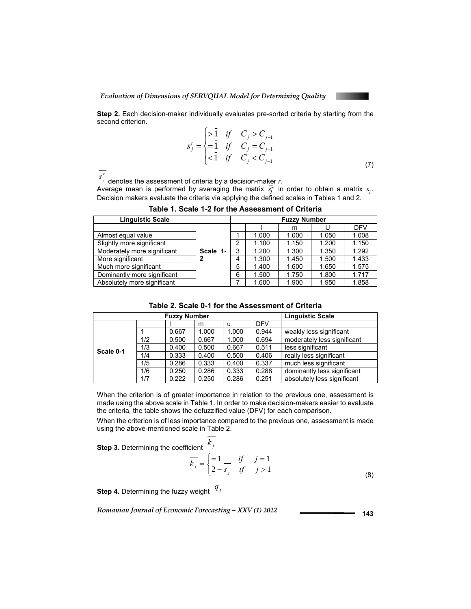

**Step 2.** Each decision-maker individually evaluates pre-sorted criteria by starting from the second criterion.

$$
\overline{s_j'} = \begin{cases}\n>1 & \text{if } C_j > C_{j-1} \\
=1 & \text{if } C_j = C_{j-1} \\
<1 & \text{if } C_j < C_{j-1}\n\end{cases}
$$
\n(7)

 $s^r_j$  denotes the assessment of criteria by a decision-maker *r.* 

Average mean is performed by averaging the matrix  $\bar{s}^T_j$  in order to obtain a matrix  $\bar{s}_j$ . Decision makers evaluate the criteria via applying the defined scales in Tables 1 and 2.

| <b>Linguistic Scale</b>     |          | <b>Fuzzy Number</b> |       |       |       |            |  |  |  |
|-----------------------------|----------|---------------------|-------|-------|-------|------------|--|--|--|
|                             |          |                     |       | m     |       | <b>DFV</b> |  |  |  |
| Almost equal value          |          |                     | 1.000 | 1.000 | 1.050 | 1.008      |  |  |  |
| Slightly more significant   |          | $\overline{2}$      | 1.100 | 1.150 | 1.200 | 1.150      |  |  |  |
| Moderately more significant | Scale 1- | 3                   | 1.200 | 1.300 | 1.350 | 1.292      |  |  |  |
| More significant            | 2        | 4                   | 1.300 | 1.450 | 1.500 | 1.433      |  |  |  |
| Much more significant       |          | 5                   | 1.400 | 1.600 | 1.650 | 1.575      |  |  |  |
| Dominantly more significant |          | 6                   | 1.500 | 1.750 | 1.800 | 1.717      |  |  |  |
| Absolutely more significant |          |                     | 1.600 | 1.900 | 1.950 | 1.858      |  |  |  |

**Table 1. Scale 1-2 for the Assessment of Criteria** 

| Table 2. Scale 0-1 for the Assessment of Criteria |  |
|---------------------------------------------------|--|
|---------------------------------------------------|--|

|           |     | <b>Linguistic Scale</b> |       |       |            |                             |
|-----------|-----|-------------------------|-------|-------|------------|-----------------------------|
|           |     |                         | m     | u     | <b>DFV</b> |                             |
|           |     | 0.667                   | 1.000 | 1.000 | 0.944      | weakly less significant     |
|           | 1/2 | 0.500                   | 0.667 | 1.000 | 0.694      | moderately less significant |
| Scale 0-1 | 1/3 | 0.400                   | 0.500 | 0.667 | 0.511      | less significant            |
|           | 1/4 | 0.333                   | 0.400 | 0.500 | 0.406      | really less significant     |
|           | 1/5 | 0.286                   | 0.333 | 0.400 | 0.337      | much less significant       |
|           | 1/6 | 0.250                   | 0.286 | 0.333 | 0.288      | dominantly less significant |
|           | 1/7 | 0.222                   | 0.250 | 0.286 | 0.251      | absolutely less significant |

When the criterion is of greater importance in relation to the previous one, assessment is made using the above scale in Table 1. In order to make decision-makers easier to evaluate the criteria, the table shows the defuzzified value (DFV) for each comparison.

When the criterion is of less importance compared to the previous one, assessment is made using the above-mentioned scale in Table 2.

**Step 3.** Determining the coefficient  $k_j$ 

$$
\overline{k_j} = \begin{cases} = \overline{1} & \text{if } j = 1 \\ 2 - s_j & \text{if } j > 1 \end{cases}
$$
\n(8)

**Step 4.** Determining the fuzzy weight  $q_j$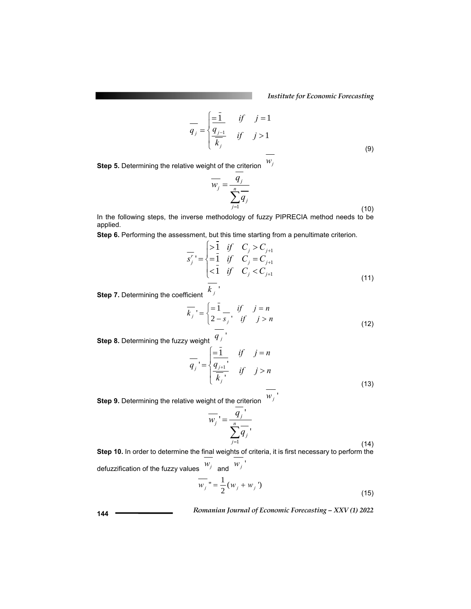*Institute for Economic Forecasting*

$$
\overline{q_j} = \begin{cases} \frac{-\overline{1}}{1} & \text{if } j = 1\\ \frac{q_{j-1}}{\overline{k_j}} & \text{if } j > 1 \end{cases} \tag{9}
$$

**Step 5.** Determining the relative weight of the criterion *wj*

$$
\overline{w_j} = \frac{q_j}{\sum_{j=1}^n q_j}
$$
\n(10)

In the following steps, the inverse methodology of fuzzy PIPRECIA method needs to be applied.

**Step 6.** Performing the assessment, but this time starting from a penultimate criterion.

$$
\overline{s_j'} = \begin{cases}\n> \overline{1} & \text{if } C_j > C_{j+1} \\
= \overline{1} & \text{if } C_j = C_{j+1} \\
< \overline{1} & \text{if } C_j < C_{j+1} \\
= \overline{1} & \text{if } C_j < C_{j+1}\n\end{cases}
$$
\n(11)

**Step 7.** Determining the coefficient  $k_j$ <sup>'</sup>

$$
\overline{k_j} = \begin{cases} = \overline{1} & \text{if } j = n \\ 2 - s_j & \text{if } j > n \end{cases}
$$
\n(12)

**Step 8.** Determining the fuzzy weight  $q_j$ <sup> $'$ </sup>

$$
\overline{q_j} = \begin{cases} \frac{-\overline{1}}{q_{j+1}}, & \text{if } j = n \\ \frac{\overline{q_{j+1}}}{\overline{k_j}}, & \text{if } j > n \end{cases} \tag{13}
$$

**Step 9.** Determining the relative weight of the criterion  $W_j$ 

$$
\overline{w_j}' = \frac{\overline{q_j}'}{\sum_{j=1}^n \overline{q_j}'},
$$
\n(14)

**Step 10.** In order to determine the final weights of criteria, it is first necessary to perform the defuzzification of the fuzzy values  $\begin{bmatrix} w_j & w_j \end{bmatrix}$  $\overline{w_j}$  " =  $\frac{1}{2}(w_j + w_j)$ (15)

 *Romanian Journal of Economic Forecasting – XXV (1) 2022* **<sup>144</sup>**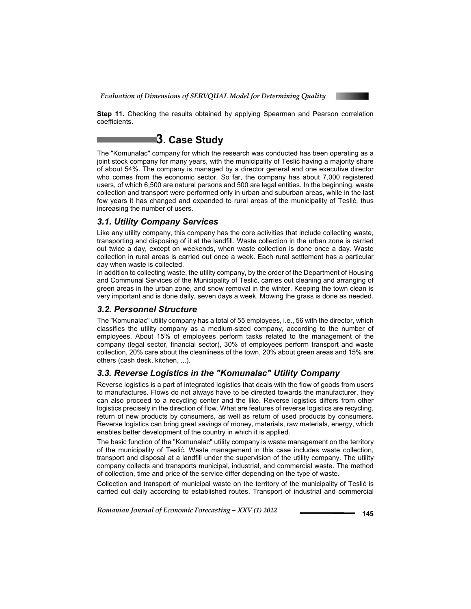

**Step 11.** Checking the results obtained by applying Spearman and Pearson correlation coefficients.

## **3. Case Study**

The "Komunalac" company for which the research was conducted has been operating as a joint stock company for many years, with the municipality of Teslić having a majority share of about 54%. The company is managed by a director general and one executive director who comes from the economic sector. So far, the company has about 7,000 registered users, of which 6,500 are natural persons and 500 are legal entities. In the beginning, waste collection and transport were performed only in urban and suburban areas, while in the last few years it has changed and expanded to rural areas of the municipality of Teslić, thus increasing the number of users.

### *3.1. Utility Company Services*

Like any utility company, this company has the core activities that include collecting waste, transporting and disposing of it at the landfill. Waste collection in the urban zone is carried out twice a day, except on weekends, when waste collection is done once a day. Waste collection in rural areas is carried out once a week. Each rural settlement has a particular day when waste is collected.

In addition to collecting waste, the utility company, by the order of the Department of Housing and Communal Services of the Municipality of Teslić, carries out cleaning and arranging of green areas in the urban zone, and snow removal in the winter. Keeping the town clean is very important and is done daily, seven days a week. Mowing the grass is done as needed.

#### *3.2. Personnel Structure*

The "Komunalac" utility company has a total of 55 employees, i.e., 56 with the director, which classifies the utility company as a medium-sized company, according to the number of employees. About 15% of employees perform tasks related to the management of the company (legal sector, financial sector), 30% of employees perform transport and waste collection, 20% care about the cleanliness of the town, 20% about green areas and 15% are others (cash desk, kitchen, ...).

#### *3.3. Reverse Logistics in the "Komunalac" Utility Company*

Reverse logistics is a part of integrated logistics that deals with the flow of goods from users to manufactures. Flows do not always have to be directed towards the manufacturer, they can also proceed to a recycling center and the like. Reverse logistics differs from other logistics precisely in the direction of flow. What are features of reverse logistics are recycling, return of new products by consumers, as well as return of used products by consumers. Reverse logistics can bring great savings of money, materials, raw materials, energy, which enables better development of the country in which it is applied.

The basic function of the "Komunalac" utility company is waste management on the territory of the municipality of Teslić. Waste management in this case includes waste collection, transport and disposal at a landfill under the supervision of the utility company. The utility company collects and transports municipal, industrial, and commercial waste. The method of collection, time and price of the service differ depending on the type of waste.

Collection and transport of municipal waste on the territory of the municipality of Teslić is carried out daily according to established routes. Transport of industrial and commercial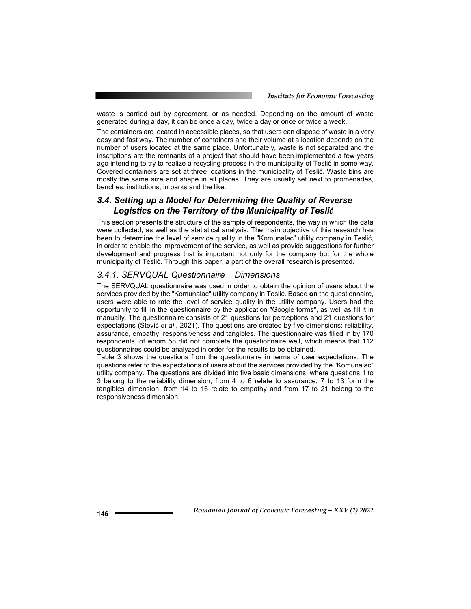waste is carried out by agreement, or as needed. Depending on the amount of waste generated during a day, it can be once a day, twice a day or once or twice a week.

The containers are located in accessible places, so that users can dispose of waste in a very easy and fast way. The number of containers and their volume at a location depends on the number of users located at the same place. Unfortunately, waste is not separated and the inscriptions are the remnants of a project that should have been implemented a few years ago intending to try to realize a recycling process in the municipality of Teslić in some way. Covered containers are set at three locations in the municipality of Teslić. Waste bins are mostly the same size and shape in all places. They are usually set next to promenades, benches, institutions, in parks and the like.

#### *3.4. Setting up a Model for Determining the Quality of Reverse Logistics on the Territory of the Municipality of Teslić*

This section presents the structure of the sample of respondents, the way in which the data were collected, as well as the statistical analysis. The main objective of this research has been to determine the level of service quality in the "Komunalac" utility company in Teslić, in order to enable the improvement of the service, as well as provide suggestions for further development and progress that is important not only for the company but for the whole municipality of Teslić. Through this paper, a part of the overall research is presented.

#### *3.4.1. SERVQUAL Questionnaire – Dimensions*

The SERVQUAL questionnaire was used in order to obtain the opinion of users about the services provided by the "Komunalac" utility company in Teslić. Based **on** the questionnaire, users were able to rate the level of service quality in the utility company. Users had the opportunity to fill in the questionnaire by the application "Google forms", as well as fill it in manually. The questionnaire consists of 21 questions for perceptions and 21 questions for expectations (Stević *et al*., 2021). The questions are created by five dimensions: reliability, assurance, empathy, responsiveness and tangibles. The questionnaire was filled in by 170 respondents, of whom 58 did not complete the questionnaire well, which means that 112 questionnaires could be analyzed in order for the results to be obtained.

Table 3 shows the questions from the questionnaire in terms of user expectations. The questions refer to the expectations of users about the services provided by the "Komunalac" utility company. The questions are divided into five basic dimensions, where questions 1 to 3 belong to the reliability dimension, from 4 to 6 relate to assurance, 7 to 13 form the tangibles dimension, from 14 to 16 relate to empathy and from 17 to 21 belong to the responsiveness dimension.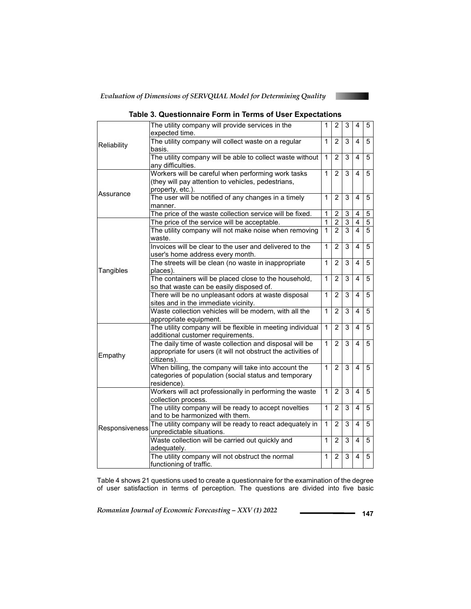

|                | The utility company will provide services in the<br>expected time.                                                                     | 1              | $\overline{c}$ | 3              | 4                       | 5              |
|----------------|----------------------------------------------------------------------------------------------------------------------------------------|----------------|----------------|----------------|-------------------------|----------------|
| Reliability    | The utility company will collect waste on a regular<br>basis.                                                                          | 1              | $\overline{2}$ | 3              | 4                       | 5              |
|                | The utility company will be able to collect waste without<br>any difficulties.                                                         | 1              | 2              | 3              | 4                       | 5              |
|                | Workers will be careful when performing work tasks<br>(they will pay attention to vehicles, pedestrians,<br>property, etc.).           |                |                |                | $\overline{\mathbf{A}}$ | 5              |
| Assurance      | The user will be notified of any changes in a timely<br>manner.                                                                        | 1              | $\overline{2}$ | 3              | $\overline{\mathbf{4}}$ | $\overline{5}$ |
|                | The price of the waste collection service will be fixed.                                                                               | 1              | $\overline{c}$ | 3              | 4                       | 5              |
|                | The price of the service will be acceptable.                                                                                           | 1              | $\overline{2}$ | $\overline{3}$ | $\overline{\mathbf{4}}$ | $\overline{5}$ |
|                | The utility company will not make noise when removing<br>waste.                                                                        | $\overline{1}$ | $\overline{2}$ | $\overline{3}$ | $\overline{\mathbf{A}}$ | $\overline{5}$ |
|                | Invoices will be clear to the user and delivered to the<br>user's home address every month.                                            | $\mathbf{1}$   | $\overline{2}$ | 3              | 4                       | 5              |
| Tangibles      | The streets will be clean (no waste in inappropriate<br>places).                                                                       | $\mathbf{1}$   | $\overline{2}$ | 3              | 4                       | $\overline{5}$ |
|                | The containers will be placed close to the household,<br>so that waste can be easily disposed of.                                      | 1              | 2              | 3              | 4                       | 5              |
|                | There will be no unpleasant odors at waste disposal<br>sites and in the immediate vicinity.                                            | 1              | $\overline{2}$ | 3              | 4                       | 5              |
|                | Waste collection vehicles will be modern, with all the<br>appropriate equipment.                                                       | $\mathbf{1}$   | $\overline{2}$ | 3              | 4                       | 5              |
|                | The utility company will be flexible in meeting individual<br>additional customer requirements.                                        | $\mathbf{1}$   | $\overline{2}$ | 3              | 4                       | 5              |
| Empathy        | The daily time of waste collection and disposal will be<br>appropriate for users (it will not obstruct the activities of<br>citizens). | 1              | $\overline{2}$ | 3              | 4                       | 5              |
|                | When billing, the company will take into account the<br>categories of population (social status and temporary<br>residence).           | $\mathbf{1}$   | $\overline{2}$ | $\overline{3}$ | $\overline{\mathbf{4}}$ | 5              |
|                | Workers will act professionally in performing the waste<br>collection process.                                                         | $\mathbf{1}$   | $\overline{2}$ | 3              | 4                       | 5              |
|                | The utility company will be ready to accept novelties<br>and to be harmonized with them.                                               | 1              | $\overline{2}$ | 3              | 4                       | 5              |
| Responsiveness | The utility company will be ready to react adequately in<br>unpredictable situations.                                                  | 1              | $\overline{2}$ | 3              | 4                       | 5              |
|                | Waste collection will be carried out quickly and<br>adequately.                                                                        | 1              | $\overline{2}$ | 3              | 4                       | 5              |
|                | The utility company will not obstruct the normal<br>functioning of traffic.                                                            | 1              | $\overline{2}$ | 3              | 4                       | 5              |

### **Table 3. Questionnaire Form in Terms of User Expectations**

Table 4 shows 21 questions used to create a questionnaire for the examination of the degree of user satisfaction in terms of perception. The questions are divided into five basic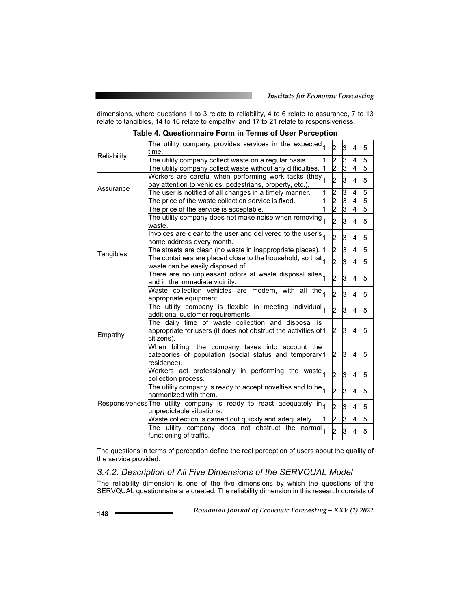dimensions, where questions 1 to 3 relate to reliability, 4 to 6 relate to assurance, 7 to 13 relate to tangibles, 14 to 16 relate to empathy, and 17 to 21 relate to responsiveness.

**Table 4. Questionnaire Form in Terms of User Perception** 

| time.                                                       |                                                                                                                                                                                            | 2                                                                                                                                                                                                                                                                                                                                                                                                                                                                                                                                                                                                                                                                                                                                                                                                                                                                                                                                                                                  | 3                            | 4        | 5      |
|-------------------------------------------------------------|--------------------------------------------------------------------------------------------------------------------------------------------------------------------------------------------|------------------------------------------------------------------------------------------------------------------------------------------------------------------------------------------------------------------------------------------------------------------------------------------------------------------------------------------------------------------------------------------------------------------------------------------------------------------------------------------------------------------------------------------------------------------------------------------------------------------------------------------------------------------------------------------------------------------------------------------------------------------------------------------------------------------------------------------------------------------------------------------------------------------------------------------------------------------------------------|------------------------------|----------|--------|
|                                                             |                                                                                                                                                                                            |                                                                                                                                                                                                                                                                                                                                                                                                                                                                                                                                                                                                                                                                                                                                                                                                                                                                                                                                                                                    | ات                           | 4        | 5      |
| The utility company collect waste without any difficulties. |                                                                                                                                                                                            |                                                                                                                                                                                                                                                                                                                                                                                                                                                                                                                                                                                                                                                                                                                                                                                                                                                                                                                                                                                    | lЗ                           | 4        | 5      |
| pay attention to vehicles, pedestrians, property, etc.).    |                                                                                                                                                                                            | 2                                                                                                                                                                                                                                                                                                                                                                                                                                                                                                                                                                                                                                                                                                                                                                                                                                                                                                                                                                                  | 3                            | 4        | 5      |
| The user is notified of all changes in a timely manner.     |                                                                                                                                                                                            |                                                                                                                                                                                                                                                                                                                                                                                                                                                                                                                                                                                                                                                                                                                                                                                                                                                                                                                                                                                    | ات                           | 4        | 5      |
| The price of the waste collection service is fixed.         |                                                                                                                                                                                            |                                                                                                                                                                                                                                                                                                                                                                                                                                                                                                                                                                                                                                                                                                                                                                                                                                                                                                                                                                                    |                              |          | 5      |
| The price of the service is acceptable.                     |                                                                                                                                                                                            |                                                                                                                                                                                                                                                                                                                                                                                                                                                                                                                                                                                                                                                                                                                                                                                                                                                                                                                                                                                    |                              |          | 5      |
| waste.                                                      |                                                                                                                                                                                            | b.                                                                                                                                                                                                                                                                                                                                                                                                                                                                                                                                                                                                                                                                                                                                                                                                                                                                                                                                                                                 | lз                           | 4        | 5      |
| home address every month.                                   |                                                                                                                                                                                            | 2                                                                                                                                                                                                                                                                                                                                                                                                                                                                                                                                                                                                                                                                                                                                                                                                                                                                                                                                                                                  | 3                            | 4        | 5      |
| The streets are clean (no waste in inappropriate places).   |                                                                                                                                                                                            | 2                                                                                                                                                                                                                                                                                                                                                                                                                                                                                                                                                                                                                                                                                                                                                                                                                                                                                                                                                                                  | 3                            | 4        | 5      |
|                                                             |                                                                                                                                                                                            | b.                                                                                                                                                                                                                                                                                                                                                                                                                                                                                                                                                                                                                                                                                                                                                                                                                                                                                                                                                                                 | ß.                           | 4        | 5      |
|                                                             |                                                                                                                                                                                            | 2                                                                                                                                                                                                                                                                                                                                                                                                                                                                                                                                                                                                                                                                                                                                                                                                                                                                                                                                                                                  | 3                            | 4        | 5      |
|                                                             |                                                                                                                                                                                            | 2                                                                                                                                                                                                                                                                                                                                                                                                                                                                                                                                                                                                                                                                                                                                                                                                                                                                                                                                                                                  | 3                            | 4        | 5      |
|                                                             |                                                                                                                                                                                            | $\overline{2}$                                                                                                                                                                                                                                                                                                                                                                                                                                                                                                                                                                                                                                                                                                                                                                                                                                                                                                                                                                     | k.                           | 4        | 5      |
| citizens).                                                  |                                                                                                                                                                                            | 2                                                                                                                                                                                                                                                                                                                                                                                                                                                                                                                                                                                                                                                                                                                                                                                                                                                                                                                                                                                  | 3                            | <b>A</b> | 5      |
| residence).                                                 |                                                                                                                                                                                            | 2                                                                                                                                                                                                                                                                                                                                                                                                                                                                                                                                                                                                                                                                                                                                                                                                                                                                                                                                                                                  | З                            | 4        | 5      |
| collection process.                                         |                                                                                                                                                                                            | 2                                                                                                                                                                                                                                                                                                                                                                                                                                                                                                                                                                                                                                                                                                                                                                                                                                                                                                                                                                                  | 3                            | 4        | 5      |
| harmonized with them.                                       |                                                                                                                                                                                            | 2                                                                                                                                                                                                                                                                                                                                                                                                                                                                                                                                                                                                                                                                                                                                                                                                                                                                                                                                                                                  | 3                            | 4        | 5      |
| unpredictable situations.                                   |                                                                                                                                                                                            | 2                                                                                                                                                                                                                                                                                                                                                                                                                                                                                                                                                                                                                                                                                                                                                                                                                                                                                                                                                                                  | 3                            | 4        | 5      |
| Waste collection is carried out quickly and adequately.     |                                                                                                                                                                                            | b.                                                                                                                                                                                                                                                                                                                                                                                                                                                                                                                                                                                                                                                                                                                                                                                                                                                                                                                                                                                 | 3                            | 4        | 5      |
| functioning of traffic.                                     |                                                                                                                                                                                            |                                                                                                                                                                                                                                                                                                                                                                                                                                                                                                                                                                                                                                                                                                                                                                                                                                                                                                                                                                                    | 3                            | 4        | 5      |
|                                                             | The utility company collect waste on a regular basis.<br>waste can be easily disposed of.<br>and in the immediate vicinity.<br>appropriate equipment.<br>additional customer requirements. | The utility company provides services in the expected<br>Workers are careful when performing work tasks (they<br>The utility company does not make noise when removing<br>Invoices are clear to the user and delivered to the user's<br>The containers are placed close to the household, so that<br>There are no unpleasant odors at waste disposal sites<br>Waste collection vehicles are modern, with all the<br>The utility company is flexible in meeting individual<br>The daily time of waste collection and disposal is<br>appropriate for users (it does not obstruct the activities of 1<br>When billing, the company takes into account the<br>categories of population (social status and temporary <sup>1</sup><br>Workers act professionally in performing the waste<br>The utility company is ready to accept novelties and to be<br>Responsiveness The utility company is ready to react adequately in<br>The utility company does not obstruct the normal $\vert$ | 2<br>2<br>$\frac{2}{2}$<br>2 | 3<br>3   | 4<br>4 |

The questions in terms of perception define the real perception of users about the quality of the service provided.

#### *3.4.2. Description of All Five Dimensions of the SERVQUAL Model*

The reliability dimension is one of the five dimensions by which the questions of the SERVQUAL questionnaire are created. The reliability dimension in this research consists of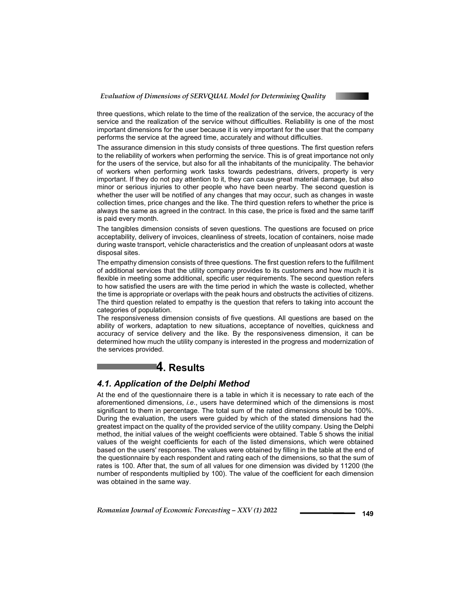

three questions, which relate to the time of the realization of the service, the accuracy of the service and the realization of the service without difficulties. Reliability is one of the most important dimensions for the user because it is very important for the user that the company performs the service at the agreed time, accurately and without difficulties.

The assurance dimension in this study consists of three questions. The first question refers to the reliability of workers when performing the service. This is of great importance not only for the users of the service, but also for all the inhabitants of the municipality. The behavior of workers when performing work tasks towards pedestrians, drivers, property is very important. If they do not pay attention to it, they can cause great material damage, but also minor or serious injuries to other people who have been nearby. The second question is whether the user will be notified of any changes that may occur, such as changes in waste collection times, price changes and the like. The third question refers to whether the price is always the same as agreed in the contract. In this case, the price is fixed and the same tariff is paid every month.

The tangibles dimension consists of seven questions. The questions are focused on price acceptability, delivery of invoices, cleanliness of streets, location of containers, noise made during waste transport, vehicle characteristics and the creation of unpleasant odors at waste disposal sites.

The empathy dimension consists of three questions. The first question refers to the fulfillment of additional services that the utility company provides to its customers and how much it is flexible in meeting some additional, specific user requirements. The second question refers to how satisfied the users are with the time period in which the waste is collected, whether the time is appropriate or overlaps with the peak hours and obstructs the activities of citizens. The third question related to empathy is the question that refers to taking into account the categories of population.

The responsiveness dimension consists of five questions. All questions are based on the ability of workers, adaptation to new situations, acceptance of novelties, quickness and accuracy of service delivery and the like. By the responsiveness dimension, it can be determined how much the utility company is interested in the progress and modernization of the services provided.

## **4. Results**

#### *4.1. Application of the Delphi Method*

At the end of the questionnaire there is a table in which it is necessary to rate each of the aforementioned dimensions, *i.e*., users have determined which of the dimensions is most significant to them in percentage. The total sum of the rated dimensions should be 100%. During the evaluation, the users were guided by which of the stated dimensions had the greatest impact on the quality of the provided service of the utility company. Using the Delphi method, the initial values of the weight coefficients were obtained. Table 5 shows the initial values of the weight coefficients for each of the listed dimensions, which were obtained based on the users' responses. The values were obtained by filling in the table at the end of the questionnaire by each respondent and rating each of the dimensions, so that the sum of rates is 100. After that, the sum of all values for one dimension was divided by 11200 (the number of respondents multiplied by 100). The value of the coefficient for each dimension was obtained in the same way.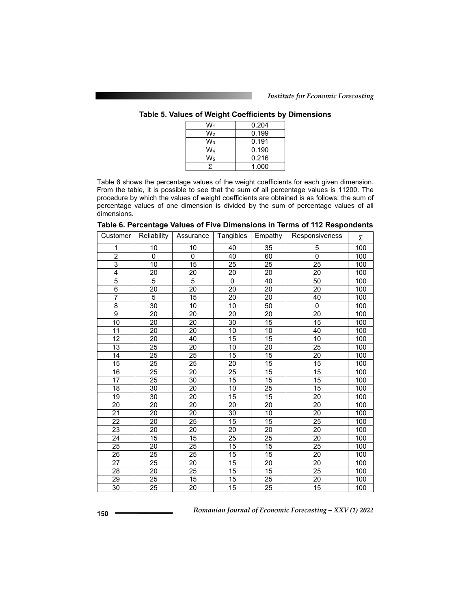| W1    | 0.204 |
|-------|-------|
| W2    | 0.199 |
| $W_3$ | 0.191 |
| W4    | 0.190 |
| $W_5$ | 0.216 |
| Σ     | 1.000 |

Table 6 shows the percentage values of the weight coefficients for each given dimension. From the table, it is possible to see that the sum of all percentage values is 11200. The procedure by which the values of weight coefficients are obtained is as follows: the sum of percentage values of one dimension is divided by the sum of percentage values of all dimensions.

| Customer        | Reliability     | Assurance       | Tangibles       | Empathy         | Responsiveness  | Σ   |
|-----------------|-----------------|-----------------|-----------------|-----------------|-----------------|-----|
| 1               | 10              | 10              | 40              | 35              | 5               | 100 |
| $\overline{2}$  | 0               | 0               | 40              | 60              | $\overline{0}$  | 100 |
| $\overline{3}$  | 10              | 15              | 25              | 25              | 25              | 100 |
| 4               | 20              | 20              | 20              | 20              | 20              | 100 |
| $\overline{5}$  | $\overline{5}$  | $\overline{5}$  | $\pmb{0}$       | 40              | $\overline{50}$ | 100 |
| $\overline{6}$  | 20              | 20              | 20              | 20              | 20              | 100 |
| 7               | $\overline{5}$  | 15              | $\overline{20}$ | $\overline{20}$ | 40              | 100 |
| $\overline{8}$  | 30              | 10              | 10              | 50              | $\mathbf 0$     | 100 |
| 9               | 20              | 20              | 20              | 20              | 20              | 100 |
| $\overline{10}$ | 20              | 20              | 30              | 15              | 15              | 100 |
| 11              | 20              | 20              | 10              | 10              | 40              | 100 |
| 12              | 20              | 40              | 15              | 15              | 10              | 100 |
| 13              | 25              | 20              | 10              | 20              | 25              | 100 |
| 14              | 25              | 25              | 15              | 15              | 20              | 100 |
| 15              | $\overline{25}$ | 25              | 20              | 15              | 15              | 100 |
| 16              | 25              | 20              | 25              | 15              | 15              | 100 |
| $\overline{17}$ | $\overline{25}$ | 30              | $\overline{15}$ | 15              | 15              | 100 |
| 18              | 30              | 20              | 10              | 25              | 15              | 100 |
| 19              | 30              | 20              | 15              | 15              | 20              | 100 |
| 20              | 20              | 20              | 20              | 20              | 20              | 100 |
| 21              | 20              | 20              | 30              | 10              | 20              | 100 |
| $\overline{22}$ | 20              | $\overline{25}$ | 15              | 15              | 25              | 100 |
| 23              | 20              | 20              | 20              | 20              | 20              | 100 |
| 24              | 15              | 15              | 25              | 25              | 20              | 100 |
| $\overline{25}$ | $\overline{20}$ | $\overline{25}$ | 15              | $\overline{15}$ | $\overline{25}$ | 100 |
| 26              | 25              | 25              | 15              | 15              | 20              | 100 |
| 27              | $\overline{25}$ | 20              | $\overline{15}$ | 20              | 20              | 100 |
| $\overline{28}$ | $\overline{20}$ | $\overline{25}$ | $\overline{15}$ | $\overline{15}$ | $\overline{25}$ | 100 |
| 29              | 25              | 15              | 15              | 25              | 20              | 100 |
| 30              | $\overline{25}$ | 20              | $\overline{15}$ | 25              | 15              | 100 |

**Table 6. Percentage Values of Five Dimensions in Terms of 112 Respondents**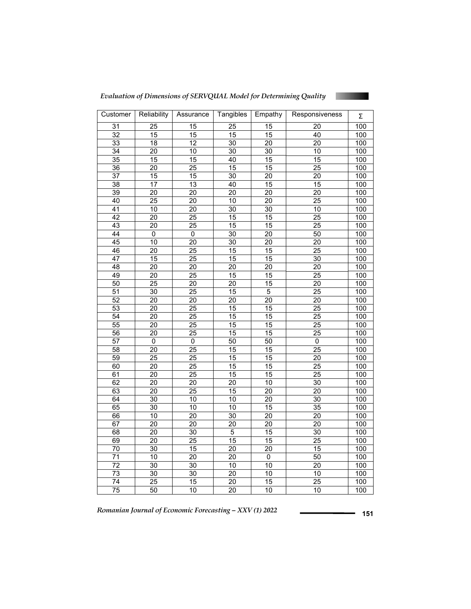*Evaluation of Dimensions of SERVQUAL Model for Determining Quality* 



| Customer        | Reliability     | Assurance       | Tangibles       | Empathy         | Responsiveness  | Σ                |
|-----------------|-----------------|-----------------|-----------------|-----------------|-----------------|------------------|
| $\overline{31}$ | $\overline{25}$ | $\overline{15}$ | 25              | $\overline{15}$ | $\overline{20}$ | 100              |
| 32              | 15              | 15              | 15              | 15              | 40              | 100              |
| 33              | $\overline{18}$ | $\overline{12}$ | $\overline{30}$ | $\overline{20}$ | $\overline{20}$ | 100              |
| $\overline{34}$ | 20              | 10              | $\overline{30}$ | 30              | 10              | 100              |
| $\overline{35}$ | 15              | $\overline{15}$ | 40              | $\overline{15}$ | 15              | 100              |
| $\overline{36}$ | $\overline{20}$ | $\overline{25}$ | $\overline{15}$ | $\overline{15}$ | $\overline{25}$ | 100              |
| $\overline{37}$ | $\overline{15}$ | $\overline{15}$ | 30              | $\overline{20}$ | $\overline{20}$ | 100              |
| 38              | $\overline{17}$ | $\overline{13}$ | 40              | 15              | $\overline{15}$ | 100              |
| 39              | $\overline{20}$ | $\overline{20}$ | $\overline{20}$ | $\overline{20}$ | $\overline{20}$ | 100              |
| 40              | $\overline{25}$ | 20              | 10              | 20              | $\overline{25}$ | 100              |
| $\overline{41}$ | $\overline{10}$ | $\overline{20}$ | 30              | $\overline{30}$ | $\overline{10}$ | 100              |
| $\overline{42}$ | 20              | $\overline{25}$ | 15              | 15              | 25              | 100              |
| 43              | $\overline{20}$ | $\overline{25}$ | 15              | 15              | $\overline{25}$ | 100              |
| 44              | $\overline{0}$  | $\overline{0}$  | $\overline{30}$ | $\overline{20}$ | 50              | 100              |
| 45              | $\overline{10}$ | 20              | 30              | 20              | $\overline{20}$ | 100              |
| 46              | $\overline{20}$ | $\overline{25}$ | $\overline{15}$ | 15              | $\overline{25}$ | $\overline{100}$ |
| $\overline{47}$ | $\overline{15}$ | $\overline{25}$ | 15              | 15              | 30              | 100              |
| 48              | $\overline{20}$ | $\overline{20}$ | $\overline{20}$ | 20              | 20              | 100              |
| 49              | $\overline{20}$ | $\overline{25}$ | 15              | 15              | $\overline{25}$ | 100              |
| 50              | $\overline{25}$ | $\overline{20}$ | $\overline{20}$ | $\overline{15}$ | $\overline{20}$ | 100              |
| 51              | 30              | $\overline{25}$ | 15              | 5               | 25              | 100              |
| 52              | 20              | 20              | 20              | 20              | 20              | 100              |
| $\overline{53}$ | $\overline{20}$ | $\overline{25}$ | $\overline{15}$ | 15              | $\overline{25}$ | 100              |
| 54              | $\overline{20}$ | 25              | 15              | $\overline{15}$ | $\overline{25}$ | 100              |
| 55              | $\overline{20}$ | $\overline{25}$ | 15              | 15              | $\overline{25}$ | 100              |
| $\overline{56}$ | $\overline{20}$ | $\overline{25}$ | 15              | 15              | $\overline{25}$ | 100              |
| 57              | $\overline{0}$  | $\overline{0}$  | 50              | $\overline{50}$ | $\overline{0}$  | 100              |
| 58              | $\overline{20}$ | $\overline{25}$ | 15              | 15              | $\overline{25}$ | 100              |
| 59              | 25              | 25              | 15              | 15              | $\overline{20}$ | 100              |
| 60              | $\overline{20}$ | $\overline{25}$ | 15              | $\overline{15}$ | $\overline{25}$ | 100              |
| 61              | 20              | $\overline{25}$ | 15              | 15              | $\overline{25}$ | 100              |
| 62              | $\overline{20}$ | $\overline{20}$ | 20              | 10              | 30              | 100              |
| 63              | $\overline{20}$ | $\overline{25}$ | 15              | $\overline{20}$ | $\overline{20}$ | 100              |
| 64              | 30              | 10              | 10              | 20              | 30              | 100              |
| 65              | 30              | 10              | 10              | 15              | $\overline{35}$ | 100              |
| 66              | $\overline{10}$ | $\overline{20}$ | $\overline{30}$ | $\overline{20}$ | $\overline{20}$ | 100              |
| 67              | $\overline{20}$ | $\overline{20}$ | $\overline{20}$ | 20              | $\overline{20}$ | 100              |
| 68              | $\overline{20}$ | 30              | $\overline{5}$  | $\overline{15}$ | 30              | $\overline{100}$ |
| 69              | $\overline{20}$ | 25              | 15              | 15              | $\overline{25}$ | 100              |
| 70              | 30              | $\overline{15}$ | $\overline{20}$ | $\overline{20}$ | 15              | 100              |
| $\overline{71}$ | $\overline{10}$ | $\overline{20}$ | $\overline{20}$ | $\overline{0}$  | 50              | 100              |
| $\overline{72}$ | $\overline{30}$ | $\overline{30}$ | 10              | $\overline{10}$ | $\overline{20}$ | 100              |
| $\overline{73}$ | $\overline{30}$ | $\overline{30}$ | 20              | 10              | 10              | 100              |
| 74              | 25              | 15              | 20              | 15              | 25              | 100              |
| $\overline{75}$ | 50              | $\overline{10}$ | $\overline{20}$ | 10              | 10              | 100              |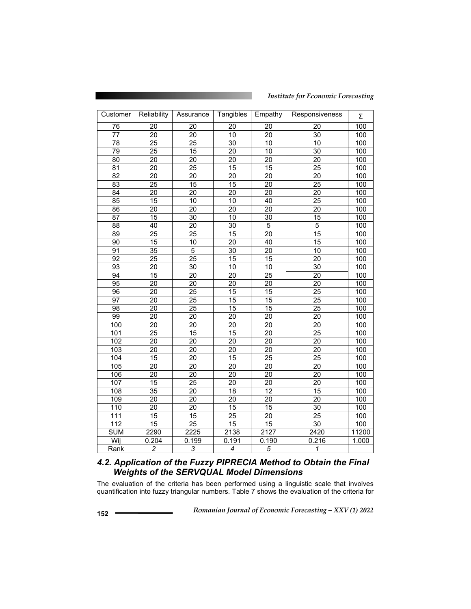#### *Institute for Economic Forecasting*

| Customer         | Reliability     | Assurance       | Tangibles       | Empathy         | Responsiveness          | Σ     |
|------------------|-----------------|-----------------|-----------------|-----------------|-------------------------|-------|
| 76               | 20              | 20              | 20              | 20              | 20                      | 100   |
| 77               | $\overline{20}$ | 20              | 10              | 20              | $\overline{30}$         | 100   |
| $\overline{78}$  | $\overline{25}$ | 25              | 30              | 10              | $\overline{10}$         | 100   |
| 79               | $\overline{25}$ | $\overline{15}$ | $\overline{20}$ | 10              | 30                      | 100   |
| 80               | 20              | 20              | 20              | 20              | 20                      | 100   |
| 81               | 20              | 25              | 15              | 15              | 25                      | 100   |
| $\overline{82}$  | $\overline{20}$ | $\overline{20}$ | $\overline{20}$ | 20              | $\overline{20}$         | 100   |
| 83               | 25              | 15              | 15              | 20              | 25                      | 100   |
| $\overline{84}$  | $\overline{20}$ | $\overline{20}$ | $\overline{20}$ | $\overline{20}$ | $\overline{20}$         | 100   |
| 85               | 15              | 10              | 10              | 40              | 25                      | 100   |
| 86               | 20              | 20              | 20              | 20              | $\overline{20}$         | 100   |
| 87               | $\overline{15}$ | 30              | 10              | 30              | $\overline{15}$         | 100   |
| 88               | 40              | 20              | 30              | 5               | $\overline{5}$          | 100   |
| 89               | $\overline{25}$ | $\overline{25}$ | 15              | 20              | $\overline{15}$         | 100   |
| 90               | 15              | 10              | 20              | 40              | 15                      | 100   |
| 91               | 35              | 5               | 30              | 20              | 10                      | 100   |
| $\overline{92}$  | $\overline{25}$ | $\overline{25}$ | 15              | 15              | $\overline{20}$         | 100   |
| $\overline{93}$  | 20              | $\overline{30}$ | 10              | 10              | 30                      | 100   |
| 94               | 15              | 20              | 20              | 25              | 20                      | 100   |
| 95               | 20              | 20              | 20              | 20              | 20                      | 100   |
| 96               | $\overline{20}$ | $\overline{25}$ | 15              | 15              | $\overline{25}$         | 100   |
| $\overline{97}$  | $\overline{20}$ | $\overline{25}$ | 15              | $\overline{15}$ | $\overline{25}$         | 100   |
| 98               | $\overline{20}$ | 25              | 15              | 15              | $\overline{25}$         | 100   |
| 99               | $\overline{20}$ | 20              | 20              | $\overline{20}$ | $\overline{20}$         | 100   |
| 100              | 20              | 20              | 20              | 20              | 20                      | 100   |
| 101              | $\overline{25}$ | 15              | 15              | 20              | 25                      | 100   |
| 102              | $\overline{20}$ | $\overline{20}$ | $\overline{20}$ | $\overline{20}$ | $\overline{20}$         | 100   |
| 103              | $\overline{20}$ | 20              | 20              | 20              | $\overline{20}$         | 100   |
| 104              | $\overline{15}$ | 20              | 15              | 25              | 25                      | 100   |
| 105              | $\overline{20}$ | $\overline{20}$ | $\overline{20}$ | 20              | $\overline{20}$         | 100   |
| 106              | 20              | 20              | 20              | 20              | 20                      | 100   |
| 107              | $\overline{15}$ | $\overline{25}$ | $\overline{20}$ | $\overline{20}$ | $\overline{20}$         | 100   |
| 108              | 35              | 20              | 18              | 12              | 15                      | 100   |
| 109              | 20              | 20              | 20              | 20              | 20                      | 100   |
| 110              | $\overline{20}$ | $\overline{20}$ | $\overline{15}$ | 15              | $\overline{30}$         | 100   |
| $\overline{111}$ | $\overline{15}$ | 15              | $\overline{25}$ | $\overline{20}$ | $\overline{25}$         | 100   |
| $\overline{112}$ | $\overline{15}$ | $\overline{25}$ | $\overline{15}$ | 15              | $\overline{3}0$         | 100   |
| <b>SUM</b>       | 2290            | 2225            | 2138            | 2127            | 2420                    | 11200 |
| Wij              | 0.204           | 0.199           | 0.191           | 0.190           | 0.216                   | 1.000 |
| Rank             | $\overline{2}$  | 3               | 4               | $\overline{5}$  | $\overline{\mathbf{1}}$ |       |

## *4.2. Application of the Fuzzy PIPRECIA Method to Obtain the Final Weights of the SERVQUAL Model Dimensions*

The evaluation of the criteria has been performed using a linguistic scale that involves quantification into fuzzy triangular numbers. Table 7 shows the evaluation of the criteria for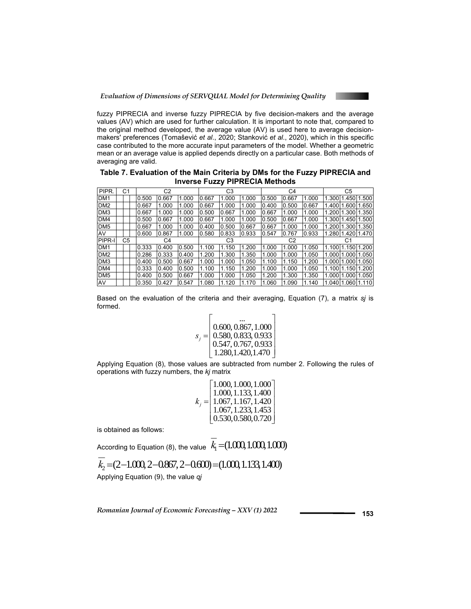

fuzzy PIPRECIA and inverse fuzzy PIPRECIA by five decision-makers and the average values (AV) which are used for further calculation. It is important to note that, compared to the original method developed, the average value (AV) is used here to average decisionmakers' preferences (Tomašević *et al*., 2020; Stanković *et al*., 2020), which in this specific case contributed to the more accurate input parameters of the model. Whether a geometric mean or an average value is applied depends directly on a particular case. Both methods of averaging are valid.

**Table 7. Evaluation of the Main Criteria by DMs for the Fuzzy PIPRECIA and Inverse Fuzzy PIPRECIA Methods** 

| PIPR.           | С1 |       | C2    |       |       | C3    |       |       | C4    |       |       | C <sub>5</sub> |                    |
|-----------------|----|-------|-------|-------|-------|-------|-------|-------|-------|-------|-------|----------------|--------------------|
| DM <sub>1</sub> |    | 0.500 | 0.667 | 1.000 | 0.667 | .000  | 1.000 | 0.500 | 0.667 | 1.000 | .300  | 1.450 1.500    |                    |
| DM <sub>2</sub> |    | 0.667 | 1.000 | 1.000 | 0.667 | .000  | 0.000 | 0.400 | 0.500 | 0.667 | .400  |                | 1.600 1.650        |
| DM3             |    | 0.667 | 1.000 | 1.000 | 0.500 | 0.667 | .000  | 0.667 | 1.000 | 1.000 | .200  |                | 1.300 1.350        |
| DM4             |    | 0.500 | 0.667 | 1.000 | 0.667 | 1.000 | 1.000 | 0.500 | 0.667 | 1.000 | 1.300 | 1.450 1.500    |                    |
| DM <sub>5</sub> |    | 0.667 | 1.000 | 1.000 | 0.400 | 0.500 | 0.667 | 0.667 | 1.000 | 1.000 | .200  | 1.300 1.350    |                    |
| AV              |    | 0.600 | 0.867 | 1.000 | 0.580 | 0.833 | 0.933 | 0.547 | 0.767 | 0.933 | .280  | 1.420 1.470    |                    |
| PIPR-I          | C5 |       | C4    |       |       | C3    |       |       | C2    |       |       | C1             |                    |
| DM <sub>1</sub> |    | 0.333 | 0.400 | 0.500 | 1.100 | 1.150 | 1.200 | 1.000 | 1.000 | 1.050 | 1.100 | 1.150 1.200    |                    |
| DM <sub>2</sub> |    | 0.286 | 0.333 | 0.400 | 1.200 | 1.300 | 1.350 | 1.000 | 1.000 | 1.050 | 1.000 | 1.000 1.050    |                    |
| DM <sub>3</sub> |    | 0.400 | 0.500 | 0.667 | 1.000 | .000  | .050  | 1.100 | 1.150 | .200  | .000  | 1.000 1.050    |                    |
| DM4             |    | 0.333 | 0.400 | 0.500 | 1.100 | 1.150 | .200  | 1.000 | 1.000 | 1.050 | 1.100 | 1.150 1.200    |                    |
| DM <sub>5</sub> |    | 0.400 | 0.500 | 0.667 | 1.000 | 1.000 | 1.050 | 1.200 | 1.300 | 1.350 | 1.000 | 1.000 1.050    |                    |
| AV              |    | 0.350 | 0.427 | 0.547 | 1.080 | 1.120 | 1.170 | 1.060 | 1.090 | 1.140 |       |                | 1.04011.06011.1101 |

Based on the evaluation of the criteria and their averaging, Equation (7), a matrix *sj* is formed.

$$
s_j = \begin{bmatrix} 0.600, 0.867, 1.000 \\ 0.580, 0.833, 0.933 \\ 0.547, 0.767, 0.933 \\ 1.280, 1.420, 1.470 \end{bmatrix}
$$

Applying Equation (8), those values are subtracted from number 2. Following the rules of operations with fuzzy numbers, the *kj* matrix

|  | $k_j = \begin{bmatrix} 1.000, 1.000, 1.000 \\ 1.000, 1.133, 1.400 \\ 1.067, 1.167, 1.420 \\ 1.067, 1.233, 1.453 \\ 0.530, 0.580, 0.720 \end{bmatrix}$ |
|--|-------------------------------------------------------------------------------------------------------------------------------------------------------|
|  |                                                                                                                                                       |

is obtained as follows:

According to Equation (8), the value  $\overline{k}_1 = (1.000, 1.000, 1.000)$ 

$$
k_2 = (2 - 1.000, 2 - 0.867, 2 - 0.600) = (1.000, 1.133, 1.400)
$$

Applying Equation (9), the value *qj*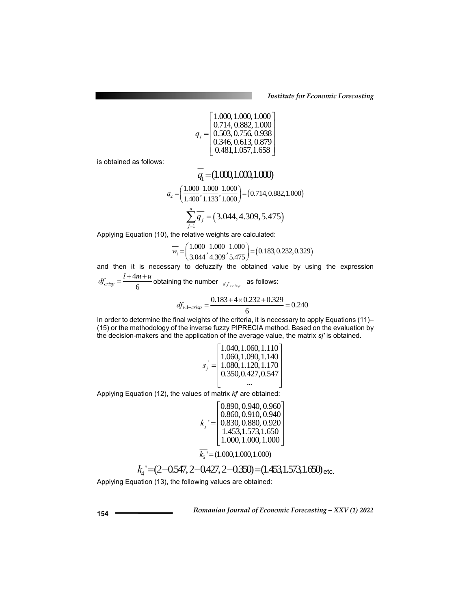*Institute for Economic Forecasting*

$$
q_{j} = \begin{bmatrix} 1.000, 1.000, 1.000 \\ 0.714, 0.882, 1.000 \\ 0.503, 0.756, 0.938 \\ 0.346, 0.613, 0.879 \\ 0.481, 1.057, 1.658 \end{bmatrix}
$$

is obtained as follows:

$$
\overline{q_1} = (1.000, 1.000, 1.000)
$$

$$
\overline{q_2} = \left(\frac{1.000}{1.400}, \frac{1.000}{1.133}, \frac{1.000}{1.000}\right) = (0.714, 0.882, 1.000)
$$

$$
\sum_{j=1}^{n} \overline{q_j} = (3.044, 4.309, 5.475)
$$

Applying Equation (10), the relative weights are calculated:

$$
\overline{w_1} = \left(\frac{1.000}{3.044}, \frac{1.000}{4.309}, \frac{1.000}{5.475}\right) = (0.183, 0.232, 0.329)
$$

and then it is necessary to defuzzify the obtained value by using the expression  $df_{crisp} = \frac{l + 4m + u}{6}$  obtaining the number  $df_{crisp}$  as follows:

$$
I_{crisp} = \frac{1}{6}
$$
 obtaining the number  $d_{f_{crisp}}$  as follows:  
0.183 + 4 × 0.232 + 0.329

$$
df_{\text{wl-crisp}} = \frac{0.183 + 4 \times 0.232 + 0.329}{6} = 0.240
$$

In order to determine the final weights of the criteria, it is necessary to apply Equations (11)– (15) or the methodology of the inverse fuzzy PIPRECIA method. Based on the evaluation by the decision-makers and the application of the average value, the matrix *sj'* is obtained.

$$
s_j = \begin{bmatrix} 1.040, 1.060, 1.110 \\ 1.060, 1.090, 1.140 \\ 1.080, 1.120, 1.170 \\ 0.350, 0.427, 0.547 \\ \dots \end{bmatrix}
$$

Applying Equation (12), the values of matrix *kj*' are obtained:

$$
k_j = \begin{bmatrix} 0.890, 0.940, 0.960 \\ 0.860, 0.910, 0.940 \\ 0.830, 0.880, 0.920 \\ 1.453, 1.573, 1.650 \\ 1.000, 1.000, 1.000 \end{bmatrix}
$$

 $\overline{k_s}$  ' = (1.000,1.000,1.000)

$$
k_4 = (2 - 0.547, 2 - 0.427, 2 - 0.350) = (1.453, 1.573, 1.650) \text{ etc.}
$$

Applying Equation (13), the following values are obtained: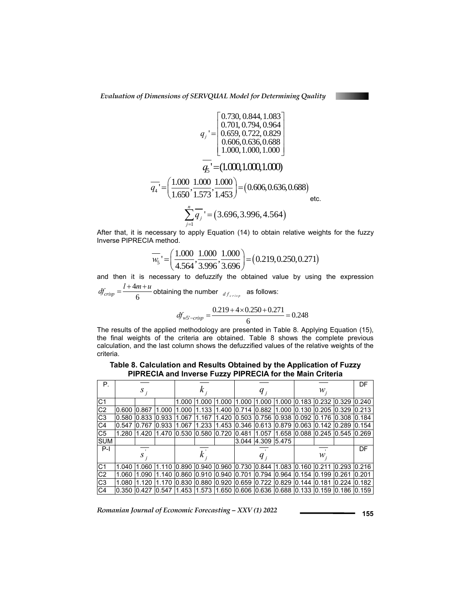$$
q_{j} = \begin{bmatrix} 0.730, 0.844, 1.083 \\ 0.701, 0.794, 0.964 \\ 0.659, 0.722, 0.829 \\ 0.606, 0.636, 0.688 \\ 1.000, 1.000, 1.000 \end{bmatrix}
$$

$$
\overline{q_{4}} = \left(\frac{1.000}{1.650}, \frac{1.000}{1.573}, \frac{1.000}{1.453}\right) = (0.606, 0.636, 0.688)
$$
etc.
$$
\sum_{j=1}^{n} \overline{q_{j}} = (3.696, 3.996, 4.564)
$$
etc.

After that, it is necessary to apply Equation (14) to obtain relative weights for the fuzzy Inverse PIPRECIA method.

$$
\overline{w_s} = \left(\frac{1.000}{4.564}, \frac{1.000}{3.996}, \frac{1.000}{3.696}\right) = (0.219, 0.250, 0.271)
$$

and then it is necessary to defuzzify the obtained value by using the expression  $l+4m+u$  $df_{crisp} = \frac{l + 4m + u}{6}$  obtaining the number  $df_{crisp}$  as follows:

$$
df_{crisp} =
$$
—  
\n
$$
df_{crisp} = \frac{6}{6}
$$
\nobtaining the number  $d_{f_{crisp}}$  as follows:  
\n
$$
df_{w5'-crisp} = \frac{0.219 + 4 \times 0.250 + 0.271}{6} = 0.248
$$

The results of the applied methodology are presented in Table 8. Applying Equation (15), the final weights of the criteria are obtained. Table 8 shows the complete previous calculation, and the last column shows the defuzzified values of the relative weights of the criteria.

**Table 8. Calculation and Results Obtained by the Application of Fuzzy PIPRECIA and Inverse Fuzzy PIPRECIA for the Main Criteria** 

| Р.             |       |             |       |       |             |       |             |                         |       |                |                                                                |       | DF    |
|----------------|-------|-------------|-------|-------|-------------|-------|-------------|-------------------------|-------|----------------|----------------------------------------------------------------|-------|-------|
|                |       | $S$ ;       |       | κ     |             |       | $q_{i}$     |                         |       | ${\mathcal W}$ |                                                                |       |       |
| C <sub>1</sub> |       |             |       | 1.000 | 1.000       | 1.000 | 1.000       | 1.000                   | 1.000 | 0.183          | 0.232                                                          | 0.329 | 0.240 |
| C <sub>2</sub> | 0.600 | 0.867       | 1.000 | 1.000 | .133        | 1.400 | 0.714       | 0.882                   | 1.000 | 0.130          | $0.205$ $0.329$                                                |       | 0.213 |
| C <sub>3</sub> |       | 0.580 0.833 | 0.933 | 1.067 | .167        | 1.420 |             | 0.503 0.756 0.938 0.092 |       |                | 0.176 0.308                                                    |       | 0.184 |
| C4             | 0.547 | 0.767       | 0.933 | 1.067 | 1.233       | 1.453 |             | 0.346 0.613 0.879       |       | 0.063          | $0.142$ $0.289$                                                |       | 0.154 |
| C <sub>5</sub> | 1.280 | 1.420       | 1.470 | 0.530 | 0.580 0.720 |       | 0.481       | 1.057                   |       |                | 1.658 0.088 0.245 0.545                                        |       | 0.269 |
| <b>SUM</b>     |       |             |       |       |             |       | 3.044       | 4.309 5.475             |       |                |                                                                |       |       |
| $P-I$          |       |             |       |       |             |       |             |                         |       |                |                                                                |       | DF    |
|                |       | S           |       | κ     |             |       | $q_{i}$     |                         |       | ${\mathcal W}$ |                                                                |       |       |
| C <sub>1</sub> | 1.040 | 1.060       | 1.110 | 0.890 | 0.940 0.960 |       |             | 0.730 0.844 1.083       |       | 0.160          | 10.211                                                         | 0.293 | 0.216 |
| C <sub>2</sub> | 1.060 | 1.090       | 1.140 | 0.860 | 0.910       | 0.940 | 0.701       | 0.794 0.964             |       | 0.154          | 0.199                                                          | 0.261 | 0.201 |
| C <sub>3</sub> | 1.080 | 1.120       | 1.170 | 0.830 | 0.880 0.920 |       | 0.659 0.722 |                         | 0.829 | 0.144          | 0.181                                                          | 0.224 | 0.182 |
| C <sub>4</sub> |       | 0.350 0.427 | 0.547 |       |             |       |             |                         |       |                | l1.453 l1.573 l1.650 l0.606 l0.636 l0.688 l0.133 l0.159 l0.186 |       | 0.159 |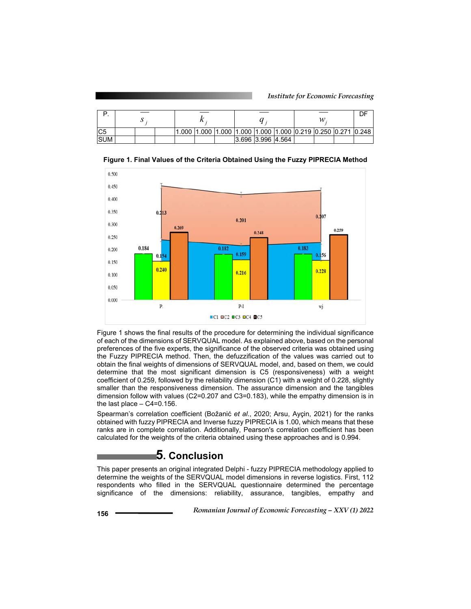| IC <sub>5</sub> |  |  |  |  |  |  |  |                   |  |  |  | 1.000  1.000  1.000  1.000  1.000  1.000  0.219  0.250  0.271  0.248 |  |
|-----------------|--|--|--|--|--|--|--|-------------------|--|--|--|----------------------------------------------------------------------|--|
| <b>SUM</b>      |  |  |  |  |  |  |  | 3.696 3.996 4.564 |  |  |  |                                                                      |  |



**Figure 1. Final Values of the Criteria Obtained Using the Fuzzy PIPRECIA Method** 

Figure 1 shows the final results of the procedure for determining the individual significance of each of the dimensions of SERVQUAL model. As explained above, based on the personal preferences of the five experts, the significance of the observed criteria was obtained using the Fuzzy PIPRECIA method. Then, the defuzzification of the values was carried out to obtain the final weights of dimensions of SERVQUAL model, and, based on them, we could determine that the most significant dimension is C5 (responsiveness) with a weight coefficient of 0.259, followed by the reliability dimension (C1) with a weight of 0.228, slightly smaller than the responsiveness dimension. The assurance dimension and the tangibles dimension follow with values (C2=0.207 and C3=0.183), while the empathy dimension is in the last place  $-$  C4=0.156.

Spearman's correlation coefficient (Božanić *et al*., 2020; Arsu, Ayçin, 2021) for the ranks obtained with fuzzy PIPRECIA and Inverse fuzzy PIPRECIA is 1.00, which means that these ranks are in complete correlation. Additionally, Pearson's correlation coefficient has been calculated for the weights of the criteria obtained using these approaches and is 0.994.

## **5. Conclusion**

This paper presents an original integrated Delphi - fuzzy PIPRECIA methodology applied to determine the weights of the SERVQUAL model dimensions in reverse logistics. First, 112 respondents who filled in the SERVQUAL questionnaire determined the percentage significance of the dimensions: reliability, assurance, tangibles, empathy and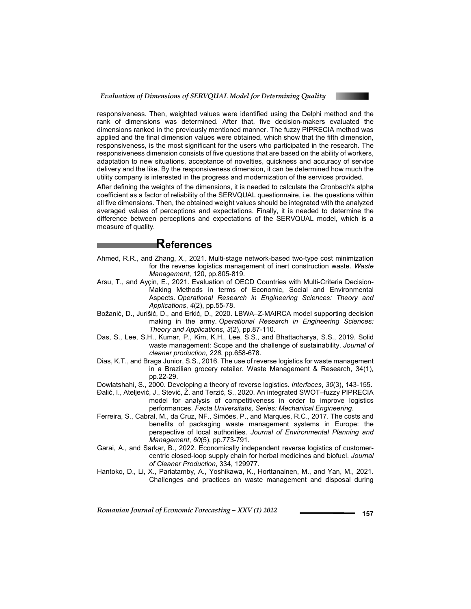

responsiveness. Then, weighted values were identified using the Delphi method and the rank of dimensions was determined. After that, five decision-makers evaluated the dimensions ranked in the previously mentioned manner. The fuzzy PIPRECIA method was applied and the final dimension values were obtained, which show that the fifth dimension, responsiveness, is the most significant for the users who participated in the research. The responsiveness dimension consists of five questions that are based on the ability of workers, adaptation to new situations, acceptance of novelties, quickness and accuracy of service delivery and the like. By the responsiveness dimension, it can be determined how much the utility company is interested in the progress and modernization of the services provided.

After defining the weights of the dimensions, it is needed to calculate the Cronbach's alpha coefficient as a factor of reliability of the SERVQUAL questionnaire, i.e. the questions within all five dimensions. Then, the obtained weight values should be integrated with the analyzed averaged values of perceptions and expectations. Finally, it is needed to determine the difference between perceptions and expectations of the SERVQUAL model, which is a measure of quality.

## **References**

- Ahmed, R.R., and Zhang, X., 2021. Multi-stage network-based two-type cost minimization for the reverse logistics management of inert construction waste. *Waste Management*, 120, pp.805-819.
- Arsu, T., and Ayçin, E., 2021. Evaluation of OECD Countries with Multi-Criteria Decision-Making Methods in terms of Economic, Social and Environmental Aspects. *Operational Research in Engineering Sciences: Theory and Applications*, *4*(2), pp.55-78.
- Božanić, D., Jurišić, D., and Erkić, D., 2020. LBWA–Z-MAIRCA model supporting decision making in the army. *Operational Research in Engineering Sciences: Theory and Applications*, *3*(2), pp.87-110.
- Das, S., Lee, S.H., Kumar, P., Kim, K.H., Lee, S.S., and Bhattacharya, S.S., 2019. Solid waste management: Scope and the challenge of sustainability. *Journal of cleaner production*, *228*, pp.658-678.
- Dias, K.T., and Braga Junior, S.S., 2016. The use of reverse logistics for waste management in a Brazilian grocery retailer. Waste Management & Research, 34(1), pp.22-29.
- Dowlatshahi, S., 2000. Developing a theory of reverse logistics. *Interfaces*, *30*(3), 143-155.
- Đalić, I., Ateljević, J., Stević, Ž. and Terzić, S., 2020. An integrated SWOT–fuzzy PIPRECIA model for analysis of competitiveness in order to improve logistics performances. *Facta Universitatis, Series: Mechanical Engineering*.
- Ferreira, S., Cabral, M., da Cruz, NF., Simões, P., and Marques, R.C., 2017. The costs and benefits of packaging waste management systems in Europe: the perspective of local authorities. *Journal of Environmental Planning and Management*, *60*(5), pp.773-791.
- Garai, A., and Sarkar, B., 2022. Economically independent reverse logistics of customercentric closed-loop supply chain for herbal medicines and biofuel. *Journal of Cleaner Production*, 334, 129977.
- Hantoko, D., Li, X., Pariatamby, A., Yoshikawa, K., Horttanainen, M., and Yan, M., 2021. Challenges and practices on waste management and disposal during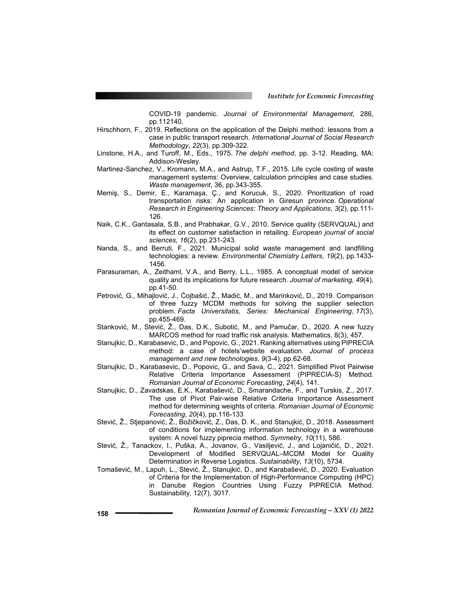COVID-19 pandemic*. Journal of Environmental Management*, 286, pp.112140.

- Hirschhorn, F., 2019. Reflections on the application of the Delphi method: lessons from a case in public transport research. *International Journal of Social Research Methodology*, *22*(3), pp.309-322.
- Linstone, H.A., and Turoff, M., Eds., 1975. *The delphi method*, pp. 3-12. Reading, MA: Addison-Wesley.
- Martinez-Sanchez, V., Kromann, M.A., and Astrup, T.F., 2015. Life cycle costing of waste management systems: Overview, calculation principles and case studies. *Waste management*, 36, pp.343-355.
- Memiş, S., Demir, E., Karamaşa, Ç., and Korucuk, S., 2020. Prioritization of road transportation risks: An application in Giresun province. *Operational Research in Engineering Sciences: Theory and Applications*, *3*(2), pp.111- 126.
- Naik, C.K., Gantasala, S.B., and Prabhakar, G.V., 2010. Service quality (SERVQUAL) and its effect on customer satisfaction in retailing. *European journal of social sciences, 16*(2), pp.231-243.
- Nanda, S., and Berruti, F., 2021. Municipal solid waste management and landfilling technologies: a review. *Environmental Chemistry Letters*, *19*(2), pp.1433- 1456.
- Parasuraman, A., Zeithaml, V.A., and Berry, L.L., 1985. A conceptual model of service quality and its implications for future research. *Journal of marketing, 49*(4), pp.41-50.
- Petrović, G., Mihajlović, J., Ćojbašić, Ž., Madić, M., and Marinković, D., 2019. Comparison of three fuzzy MCDM methods for solving the supplier selection problem. *Facta Universitatis, Series: Mechanical Engineering*, *17*(3), pp.455-469.
- Stanković, M., Stević, Ž., Das, D.K., Subotić, M., and Pamučar, D., 2020. A new fuzzy MARCOS method for road traffic risk analysis. Mathematics, 8(3), 457.
- Stanujkic, D., Karabasevic, D., and Popovic, G., 2021. Ranking alternatives using PIPRECIA method: a case of hotels'website evaluation. *Journal of process management and new technologies*, *9*(3-4), pp.62-68.
- Stanujkic, D., Karabasevic, D., Popovic, G., and Sava, C., 2021. Simplified Pivot Pairwise Relative Criteria Importance Assessment (PIPRECIA-S) Method. *Romanian Journal of Economic Forecasting*, *24*(4), 141.
- Stanujkic, D., Zavadskas, E.K., Karabašević, D., Smarandache, F., and Turskis, Z., 2017. The use of Pivot Pair-wise Relative Criteria Importance Assessment method for determining weights of criteria. *Romanian Journal of Economic Forecasting*, *20*(4), pp.116-133
- Stević, Ž., Stjepanović, Ž., Božičković, Z., Das, D. K., and Stanujkić, D., 2018. Assessment of conditions for implementing information technology in a warehouse system: A novel fuzzy piprecia method. *Symmetry*, *10*(11), 586.
- Stević, Ž., Tanackov, I., Puška, A., Jovanov, G., Vasiljević, J., and Lojaničić, D., 2021. Development of Modified SERVQUAL–MCDM Model for Quality Determination in Reverse Logistics. *Sustainability*, *13*(10), 5734.
- Tomašević, M., Lapuh, L., Stević, Ž., Stanujkić, D., and Karabašević, D., 2020. Evaluation of Criteria for the Implementation of High-Performance Computing (HPC) in Danube Region Countries Using Fuzzy PIPRECIA Method. Sustainability, 12(7), 3017.